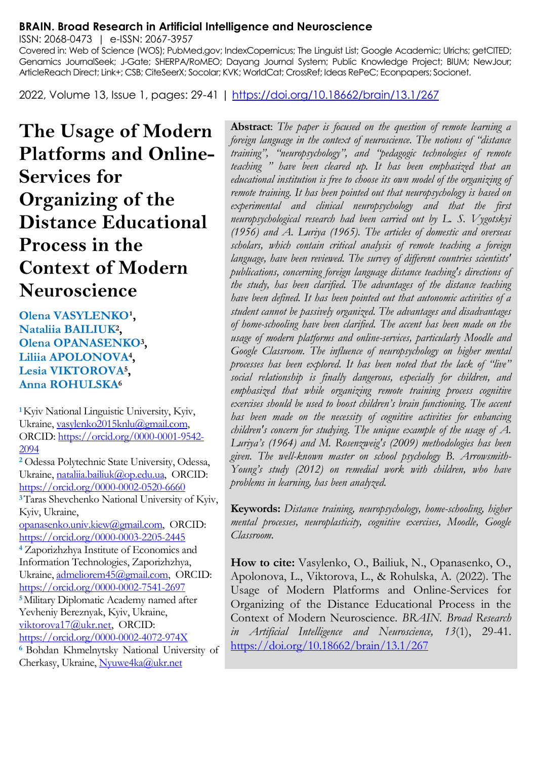#### **BRAIN. Broad Research in Artificial Intelligence and Neuroscience**

ISSN: 2068-0473 | e-ISSN: 2067-3957

Covered in: Web of Science (WOS); PubMed.gov; IndexCopernicus; The Linguist List; Google Academic; Ulrichs; getCITED; Genamics JournalSeek; J-Gate; SHERPA/RoMEO; Dayang Journal System; Public Knowledge Project; BIUM; NewJour; ArticleReach Direct; Link+; CSB; CiteSeerX; Socolar; KVK; WorldCat; CrossRef; Ideas RePeC; Econpapers; Socionet.

2022, Volume 13, Issue 1, pages: 29-41 |<https://doi.org/10.18662/brain/13.1/267>

**The Usage of Modern Platforms and Online-Services for Organizing of the Distance Educational Process in the Context of Modern Neuroscience**

**Olena VASYLENKO<sup>1</sup>, Nataliia BAILIUK<sup>2</sup> , Olena OPANASENKO<sup>3</sup> , Liliia APOLONOVA<sup>4</sup> , Lesia VIKTOROVA<sup>5</sup> , Anna ROHULSKA<sup>6</sup>**

**<sup>1</sup>**Kyiv National Linguistic University, Kyiv, Ukraine, vasylenko2015knlu@gmail.com, ORCID: [https://orcid.org/0000-0001-9542-](https://orcid.org/0000-0001-9542-2094) [2094](https://orcid.org/0000-0001-9542-2094) 

**<sup>2</sup>** Odessа Polytechnic State University, Odessa, Ukraine[, nataliia.bailiuk@op.edu.ua,](mailto:nataliia.bailiuk@op.edu.ua) ORCID: <https://orcid.org/0000-0002-0520-6660> **<sup>3</sup>**Taras Shevchenko National University of Kyiv,

Kyiv, Ukraine,

[opanasenko.univ.kiew@gmail.com,](mailto:opanasenko.univ.kiew@gmail.com) ORCID: <https://orcid.org/0000-0003-2205-2445>

**<sup>4</sup>** Zaporizhzhya Institute of Economics and Information Technologies, Zaporizhzhya, Ukraine[, admeliorem45@gmail.com,](mailto:admeliorem45@gmail.com) ORCID: <https://orcid.org/0000-0002-7541-2697>

**<sup>5</sup>**Military Diplomatic Academy named after Yevheniy Bereznyak, Kyiv, Ukraine, [viktorova17@ukr.net,](mailto:viktorova17@ukr.net) ORCID: <https://orcid.org/0000-0002-4072-974X>

**<sup>6</sup>**Bohdan Khmelnytsky National University of Cherkasy, Ukraine, [Nyuwe4ka@ukr.net](mailto:Nyuwe4ka@ukr.net)

**Abstract**: *The paper is focused on the question of remote learning a foreign language in the context of neuroscience. The notions of "distance training", "neuropsychology", and "pedagogic technologies of remote teaching " have been cleared up. It has been emphasized that an educational institution is free to choose its own model of the organizing of remote training. It has been pointed out that neuropsychology is based on experimental and clinical neuropsychology and that the first neuropsychological research had been carried out by L. S. Vygotskyi (1956) and A. Luriya (1965). The articles of domestic and overseas scholars, which contain critical analysis of remote teaching a foreign language, have been reviewed. The survey of different countries scientists' publications, concerning foreign language distance teaching's directions of the study, has been clarified. The advantages of the distance teaching have been defined. It has been pointed out that autonomic activities of a student cannot be passively organized. The advantages and disadvantages of home-schooling have been clarified. The accent has been made on the usage of modern platforms and online-services, particularly Moodle and Google Classroom. The influence of neuropsychology on higher mental processes has been explored. It has been noted that the lack of "live" social relationship is finally dangerous, especially for children, and emphasized that while organizing remote training process cognitive exercises should be used to boost children's brain functioning. The accent has been made on the necessity of cognitive activities for enhancing children's concern for studying. The unique example of the usage of A. Luriya's (1964) and M. Rosenzweig's (2009) methodologies has been given. The well-known master on school psychology B. Arrowsmith-Young's study (2012) on remedial work with children, who have problems in learning, has been analyzed.*

**Keywords:** *Distance training, neuropsychology, home-schooling, higher mental processes, neuroplasticity, cognitive exercises, Moodle, Google Classroom.*

**How to cite:** Vasylenko, O., Bailiuk, N., Opanasenko, O., Apolonova, L., Viktorova, L., & Rohulska, A. (2022). The Usage of Modern Platforms and Online-Services for Organizing of the Distance Educational Process in the Context of Modern Neuroscience. *BRAIN. Broad Research in Artificial Intelligence and Neuroscience, 13*(1), 29-41. <https://doi.org/10.18662/brain/13.1/267>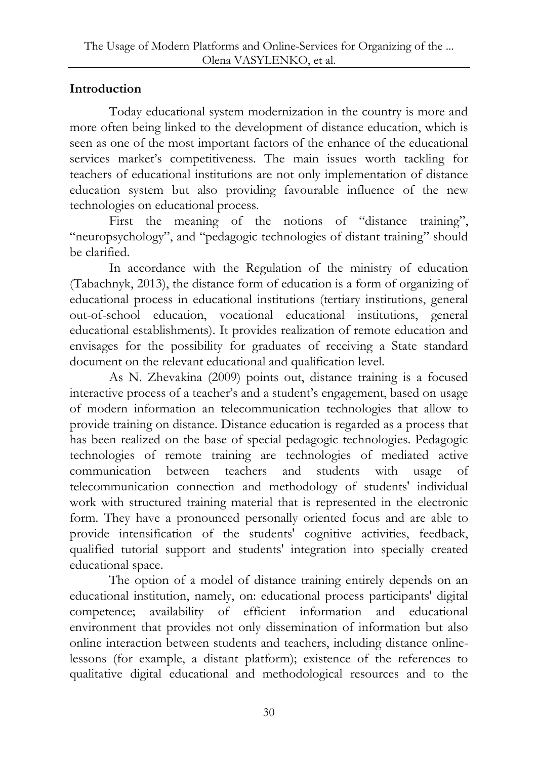# **Introduction**

Today educational system modernization in the country is more and more often being linked to the development of distance education, which is seen as one of the most important factors of the enhance of the educational services market's competitiveness. The main issues worth tackling for teachers of educational institutions are not only implementation of distance education system but also providing favourable influence of the new technologies on educational process.

First the meaning of the notions of "distance training", "neuropsychology", and "pedagogic technologies of distant training" should be clarified.

In accordance with the Regulation of the ministry of education (Tabachnyk, 2013), the distance form of education is a form of organizing of educational process in educational institutions (tertiary institutions, general out-of-school education, vocational educational institutions, general educational establishments). It provides realization of remote education and envisages for the possibility for graduates of receiving a State standard document on the relevant educational and qualification level.

As N. Zhevakina (2009) points out, distance training is a focused interactive process of a teacher's and a student's engagement, based on usage of modern information an telecommunication technologies that allow to provide training on distance. Distance education is regarded as a process that has been realized on the base of special pedagogic technologies. Pedagogic technologies of remote training are technologies of mediated active communication between teachers and students with usage of telecommunication connection and methodology of students' individual work with structured training material that is represented in the electronic form. They have a pronounced personally oriented focus and are able to provide intensification of the students' cognitive activities, feedback, qualified tutorial support and students' integration into specially created educational space.

The option of a model of distance training entirely depends on an educational institution, namely, on: educational process participants' digital competence; availability of efficient information and educational environment that provides not only dissemination of information but also online interaction between students and teachers, including distance onlinelessons (for example, a distant platform); existence of the references to qualitative digital educational and methodological resources and to the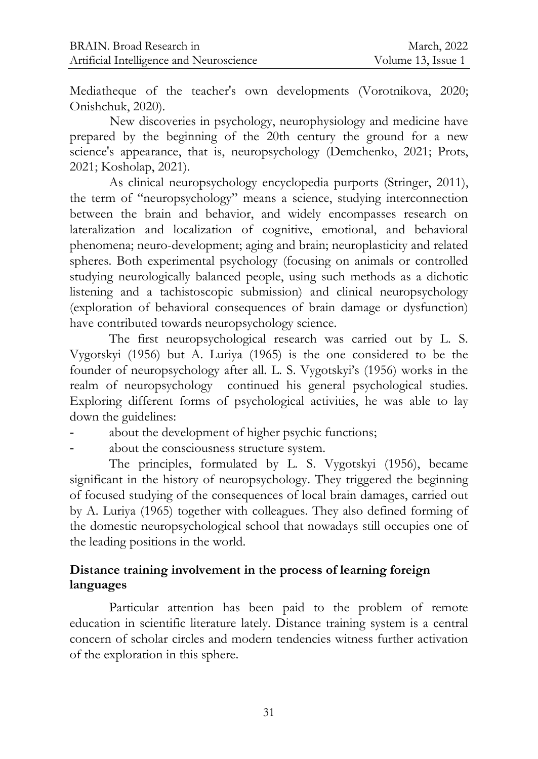Mediatheque of the teacher's own developments (Vorotnikova, 2020; Onishchuk, 2020).

New discoveries in psychology, neurophysiology and medicine have prepared by the beginning of the 20th century the ground for a new science's appearance, that is, neuropsychology (Demchenko, 2021; Prots, 2021; Kosholap, 2021).

As clinical neuropsychology encyclopedia purports (Stringer, 2011), the term of "neuropsychology" means a science, studying interconnection between the brain and behavior, and widely encompasses research on lateralization and localization of cognitive, emotional, and behavioral phenomena; neuro-development; aging and brain; neuroplasticity and related spheres. Both experimental psychology (focusing on animals or controlled studying neurologically balanced people, using such methods as a dichotic listening and a tachistoscopic submission) and clinical neuropsychology (exploration of behavioral consequences of brain damage or dysfunction) have contributed towards neuropsychology science.

The first neuropsychological research was carried out by L. S. Vygotskyi (1956) but A. Luriya (1965) is the one considered to be the founder of neuropsychology after all. L. S. Vygotskyi's (1956) works in the realm of neuropsychology continued his general psychological studies. Exploring different forms of psychological activities, he was able to lay down the guidelines:

- about the development of higher psychic functions;
- about the consciousness structure system.

The principles, formulated by L. S. Vygotskyi (1956), became significant in the history of neuropsychology. They triggered the beginning of focused studying of the consequences of local brain damages, carried out by A. Luriya (1965) together with colleagues. They also defined forming of the domestic neuropsychological school that nowadays still occupies one of the leading positions in the world.

#### **Distance training involvement in the process of learning foreign languages**

Particular attention has been paid to the problem of remote education in scientific literature lately. Distance training system is a central concern of scholar circles and modern tendencies witness further activation of the exploration in this sphere.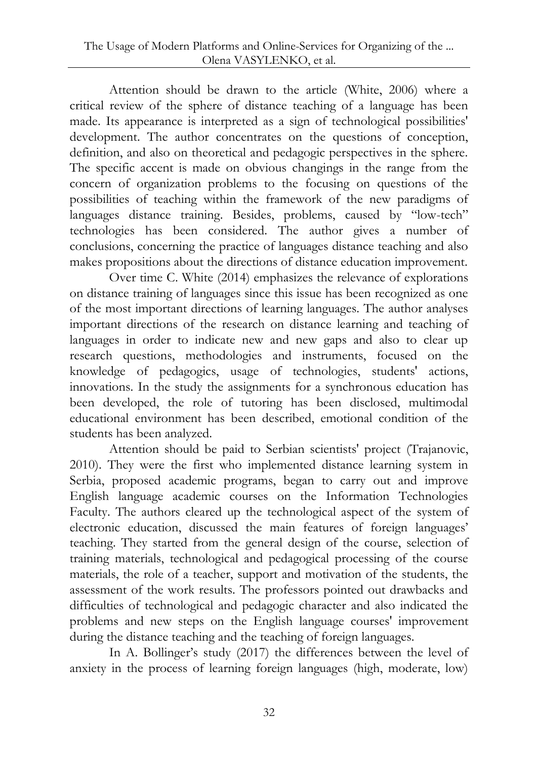Attention should be drawn to the article (White, 2006) where a critical review of the sphere of distance teaching of a language has been made. Its appearance is interpreted as a sign of technological possibilities' development. The author concentrates on the questions of conception, definition, and also on theoretical and pedagogic perspectives in the sphere. The specific accent is made on obvious changings in the range from the concern of organization problems to the focusing on questions of the possibilities of teaching within the framework of the new paradigms of languages distance training. Besides, problems, caused by "low-tech" technologies has been considered. The author gives a number of conclusions, concerning the practice of languages distance teaching and also makes propositions about the directions of distance education improvement.

Over time C. White (2014) emphasizes the relevance of explorations on distance training of languages since this issue has been recognized as one of the most important directions of learning languages. The author analyses important directions of the research on distance learning and teaching of languages in order to indicate new and new gaps and also to clear up research questions, methodologies and instruments, focused on the knowledge of pedagogics, usage of technologies, students' actions, innovations. In the study the assignments for a synchronous education has been developed, the role of tutoring has been disclosed, multimodal educational environment has been described, emotional condition of the students has been analyzed.

Attention should be paid to Serbian scientists' project (Trajanovic, 2010). They were the first who implemented distance learning system in Serbia, proposed academic programs, began to carry out and improve English language academic courses on the Information Technologies Faculty. The authors cleared up the technological aspect of the system of electronic education, discussed the main features of foreign languages' teaching. They started from the general design of the course, selection of training materials, technological and pedagogical processing of the course materials, the role of a teacher, support and motivation of the students, the assessment of the work results. The professors pointed out drawbacks and difficulties of technological and pedagogic character and also indicated the problems and new steps on the English language courses' improvement during the distance teaching and the teaching of foreign languages.

In A. Bollinger's study (2017) the differences between the level of anxiety in the process of learning foreign languages (high, moderate, low)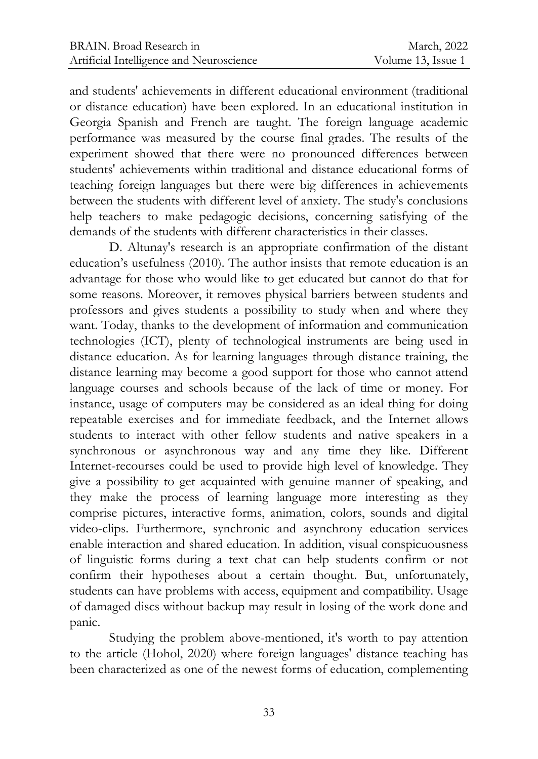and students' achievements in different educational environment (traditional or distance education) have been explored. In an educational institution in Georgia Spanish and French are taught. The foreign language academic performance was measured by the course final grades. The results of the experiment showed that there were no pronounced differences between students' achievements within traditional and distance educational forms of teaching foreign languages but there were big differences in achievements between the students with different level of anxiety. The study's conclusions help teachers to make pedagogic decisions, concerning satisfying of the demands of the students with different characteristics in their classes.

D. Altunay's research is an appropriate confirmation of the distant education's usefulness (2010). The author insists that remote education is an advantage for those who would like to get educated but cannot do that for some reasons. Moreover, it removes physical barriers between students and professors and gives students a possibility to study when and where they want. Today, thanks to the development of information and communication technologies (ICT), plenty of technological instruments are being used in distance education. As for learning languages through distance training, the distance learning may become a good support for those who cannot attend language courses and schools because of the lack of time or money. For instance, usage of computers may be considered as an ideal thing for doing repeatable exercises and for immediate feedback, and the Internet allows students to interact with other fellow students and native speakers in a synchronous or asynchronous way and any time they like. Different Internet-recourses could be used to provide high level of knowledge. They give a possibility to get acquainted with genuine manner of speaking, and they make the process of learning language more interesting as they comprise pictures, interactive forms, animation, colors, sounds and digital video-clips. Furthermore, synchronic and asynchrony education services enable interaction and shared education. In addition, visual conspicuousness of linguistic forms during a text chat can help students confirm or not confirm their hypotheses about a certain thought. But, unfortunately, students can have problems with access, equipment and compatibility. Usage of damaged discs without backup may result in losing of the work done and panic.

Studying the problem above-mentioned, it's worth to pay attention to the article (Hohol, 2020) where foreign languages' distance teaching has been characterized as one of the newest forms of education, complementing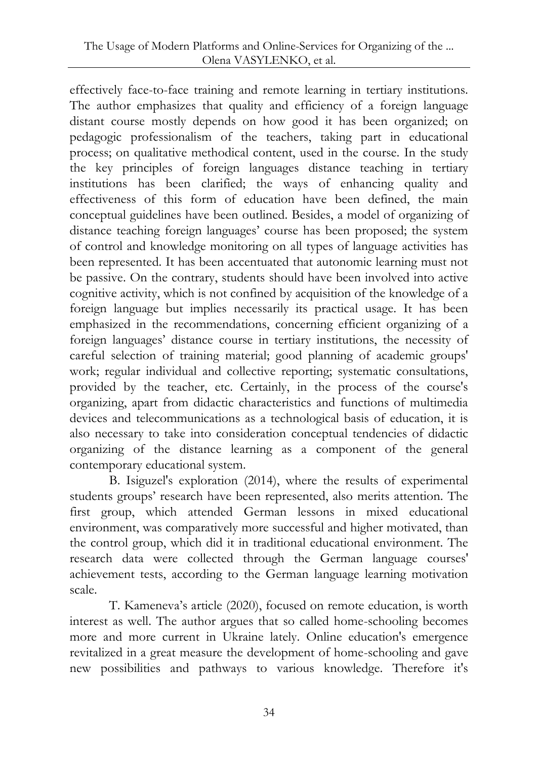effectively face-to-face training and remote learning in tertiary institutions. The author emphasizes that quality and efficiency of a foreign language distant course mostly depends on how good it has been organized; on pedagogic professionalism of the teachers, taking part in educational process; on qualitative methodical content, used in the course. In the study the key principles of foreign languages distance teaching in tertiary institutions has been clarified; the ways of enhancing quality and effectiveness of this form of education have been defined, the main conceptual guidelines have been outlined. Besides, a model of organizing of distance teaching foreign languages' course has been proposed; the system of control and knowledge monitoring on all types of language activities has been represented. It has been accentuated that autonomic learning must not be passive. On the contrary, students should have been involved into active cognitive activity, which is not confined by acquisition of the knowledge of a foreign language but implies necessarily its practical usage. It has been emphasized in the recommendations, concerning efficient organizing of a foreign languages' distance course in tertiary institutions, the necessity of careful selection of training material; good planning of academic groups' work; regular individual and collective reporting; systematic consultations, provided by the teacher, etc. Certainly, in the process of the course's organizing, apart from didactic characteristics and functions of multimedia devices and telecommunications as a technological basis of education, it is also necessary to take into consideration conceptual tendencies of didactic organizing of the distance learning as a component of the general contemporary educational system.

B. Isiguzel's exploration (2014), where the results of experimental students groups' research have been represented, also merits attention. The first group, which attended German lessons in mixed educational environment, was comparatively more successful and higher motivated, than the control group, which did it in traditional educational environment. The research data were collected through the German language courses' achievement tests, according to the German language learning motivation scale.

T. Kameneva's article (2020), focused on remote education, is worth interest as well. The author argues that so called home-schooling becomes more and more current in Ukraine lately. Online education's emergence revitalized in a great measure the development of home-schooling and gave new possibilities and pathways to various knowledge. Therefore it's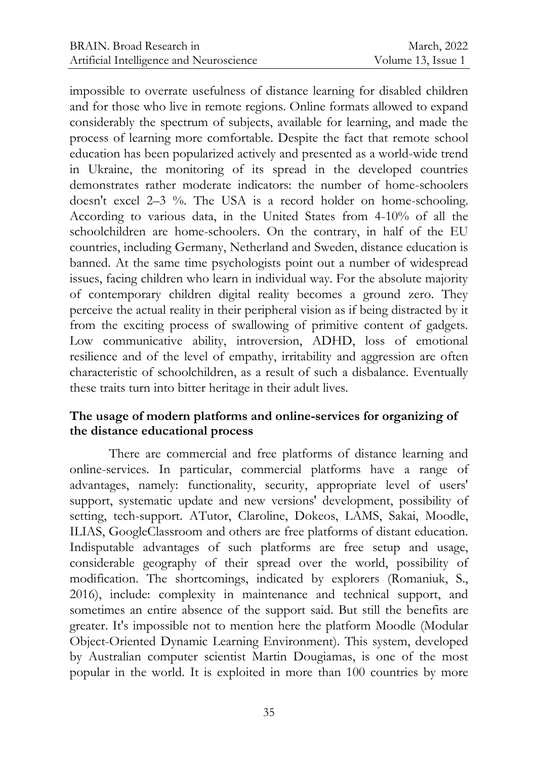impossible to overrate usefulness of distance learning for disabled children and for those who live in remote regions. Online formats allowed to expand considerably the spectrum of subjects, available for learning, and made the process of learning more comfortable. Despite the fact that remote school education has been popularized actively and presented as a world-wide trend in Ukraine, the monitoring of its spread in the developed countries demonstrates rather moderate indicators: the number of home-schoolers doesn't excel 2–3 %. The USA is a record holder on home-schooling. According to various data, in the United States from 4-10% of all the schoolchildren are home-schoolers. On the contrary, in half of the EU countries, including Germany, Netherland and Sweden, distance education is banned. At the same time psychologists point out a number of widespread issues, facing children who learn in individual way. For the absolute majority of contemporary children digital reality becomes a ground zero. They perceive the actual reality in their peripheral vision as if being distracted by it from the exciting process of swallowing of primitive content of gadgets. Low communicative ability, introversion, ADHD, loss of emotional resilience and of the level of empathy, irritability and aggression are often characteristic of schoolchildren, as a result of such a disbalance. Eventually these traits turn into bitter heritage in their adult lives.

## **The usage of modern platforms and online-services for organizing of the distance educational process**

There are commercial and free platforms of distance learning and online-services. In particular, commercial platforms have a range of advantages, namely: functionality, security, appropriate level of users' support, systematic update and new versions' development, possibility of setting, tech-support. ATutor, Claroline, Dokeos, LAMS, Sakai, Moodle, ILIAS, GoogleClassroom and others are free platforms of distant education. Indisputable advantages of such platforms are free setup and usage, considerable geography of their spread over the world, possibility of modification. The shortcomings, indicated by explorers (Romaniuk, S., 2016), include: complexity in maintenance and technical support, and sometimes an entire absence of the support said. But still the benefits are greater. It's impossible not to mention here the platform Moodle (Modular Object-Oriented Dynamic Learning Environment). This system, developed by Australian computer scientist Martin Dougiamas, is one of the most popular in the world. It is exploited in more than 100 countries by more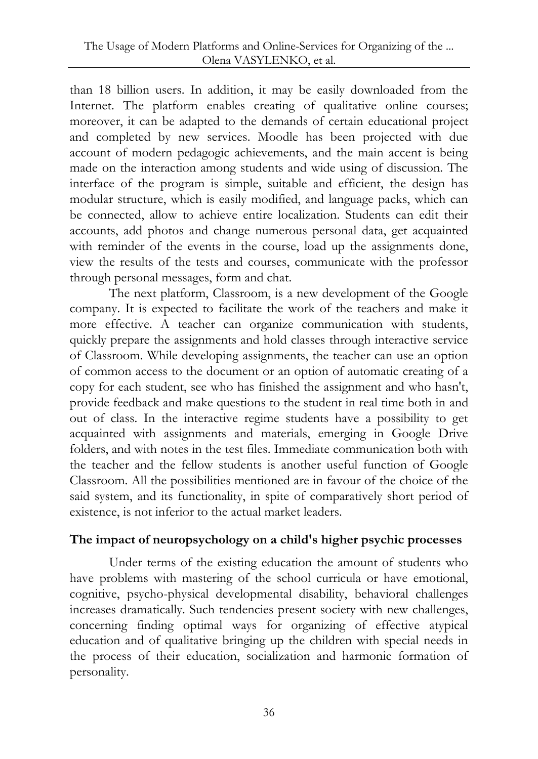than 18 billion users. In addition, it may be easily downloaded from the Internet. The platform enables creating of qualitative online courses; moreover, it can be adapted to the demands of certain educational project and completed by new services. Moodle has been projected with due account of modern pedagogic achievements, and the main accent is being made on the interaction among students and wide using of discussion. The interface of the program is simple, suitable and efficient, the design has modular structure, which is easily modified, and language packs, which can be connected, allow to achieve entire localization. Students can edit their accounts, add photos and change numerous personal data, get acquainted with reminder of the events in the course, load up the assignments done, view the results of the tests and courses, communicate with the professor through personal messages, form and chat.

The next platform, Classroom, is a new development of the Google company. It is expected to facilitate the work of the teachers and make it more effective. A teacher can organize communication with students, quickly prepare the assignments and hold classes through interactive service of Classroom. While developing assignments, the teacher can use an option of common access to the document or an option of automatic creating of a copy for each student, see who has finished the assignment and who hasn't, provide feedback and make questions to the student in real time both in and out of class. In the interactive regime students have a possibility to get acquainted with assignments and materials, emerging in Google Drive folders, and with notes in the test files. Immediate communication both with the teacher and the fellow students is another useful function of Google Classroom. All the possibilities mentioned are in favour of the choice of the said system, and its functionality, in spite of comparatively short period of existence, is not inferior to the actual market leaders.

## **The impact of neuropsychology on a child's higher psychic processes**

Under terms of the existing education the amount of students who have problems with mastering of the school curricula or have emotional, cognitive, psycho-physical developmental disability, behavioral challenges increases dramatically. Such tendencies present society with new challenges, concerning finding optimal ways for organizing of effective atypical education and of qualitative bringing up the children with special needs in the process of their education, socialization and harmonic formation of personality.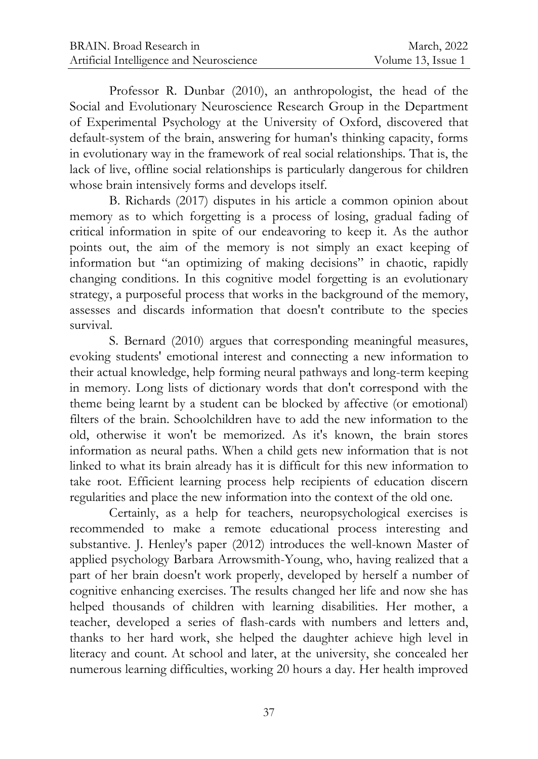Professor R. Dunbar (2010), an anthropologist, the head of the Social and Evolutionary Neuroscience Research Group in the Department of Experimental Psychology at the University of Oxford, discovered that default-system of the brain, answering for human's thinking capacity, forms in evolutionary way in the framework of real social relationships. That is, the lack of live, offline social relationships is particularly dangerous for children whose brain intensively forms and develops itself.

B. Richards (2017) disputes in his article a common opinion about memory as to which forgetting is a process of losing, gradual fading of critical information in spite of our endeavoring to keep it. As the author points out, the aim of the memory is not simply an exact keeping of information but "an optimizing of making decisions" in chaotic, rapidly changing conditions. In this cognitive model forgetting is an evolutionary strategy, a purposeful process that works in the background of the memory, assesses and discards information that doesn't contribute to the species survival.

S. Bernard (2010) argues that corresponding meaningful measures, evoking students' emotional interest and connecting a new information to their actual knowledge, help forming neural pathways and long-term keeping in memory. Long lists of dictionary words that don't correspond with the theme being learnt by a student can be blocked by affective (or emotional) filters of the brain. Schoolchildren have to add the new information to the old, otherwise it won't be memorized. As it's known, the brain stores information as neural paths. When a child gets new information that is not linked to what its brain already has it is difficult for this new information to take root. Efficient learning process help recipients of education discern regularities and place the new information into the context of the old one.

Certainly, as a help for teachers, neuropsychological exercises is recommended to make a remote educational process interesting and substantive. J. Henley's paper (2012) introduces the well-known Master of applied psychology Barbara Arrowsmith-Young, who, having realized that a part of her brain doesn't work properly, developed by herself a number of cognitive enhancing exercises. The results changed her life and now she has helped thousands of children with learning disabilities. Her mother, a teacher, developed a series of flash-cards with numbers and letters and, thanks to her hard work, she helped the daughter achieve high level in literacy and count. At school and later, at the university, she concealed her numerous learning difficulties, working 20 hours a day. Her health improved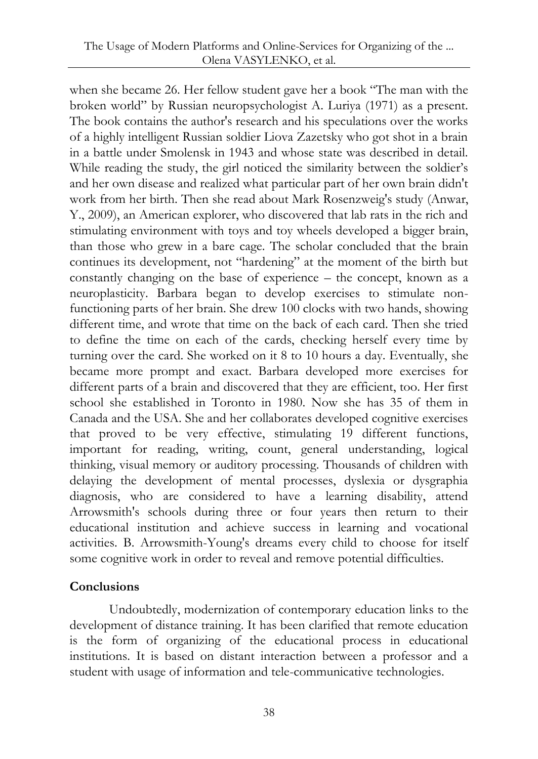when she became 26. Her fellow student gave her a book "The man with the broken world" by Russian neuropsychologist A. Luriya (1971) as a present. The book contains the author's research and his speculations over the works of a highly intelligent Russian soldier Liova Zazetsky who got shot in a brain in a battle under Smolensk in 1943 and whose state was described in detail. While reading the study, the girl noticed the similarity between the soldier's and her own disease and realized what particular part of her own brain didn't work from her birth. Then she read about Mark Rosenzweig's study (Anwar, Y., 2009), an American explorer, who discovered that lab rats in the rich and stimulating environment with toys and toy wheels developed a bigger brain, than those who grew in a bare cage. The scholar concluded that the brain continues its development, not "hardening" at the moment of the birth but constantly changing on the base of experience – the concept, known as a neuroplasticity. Barbara began to develop exercises to stimulate nonfunctioning parts of her brain. She drew 100 clocks with two hands, showing different time, and wrote that time on the back of each card. Then she tried to define the time on each of the cards, checking herself every time by turning over the card. She worked on it 8 to 10 hours a day. Eventually, she became more prompt and exact. Barbara developed more exercises for different parts of a brain and discovered that they are efficient, too. Her first school she established in Toronto in 1980. Now she has 35 of them in Canada and the USA. She and her collaborates developed cognitive exercises that proved to be very effective, stimulating 19 different functions, important for reading, writing, count, general understanding, logical thinking, visual memory or auditory processing. Thousands of children with delaying the development of mental processes, dyslexia or dysgraphia diagnosis, who are considered to have a learning disability, attend Arrowsmith's schools during three or four years then return to their educational institution and achieve success in learning and vocational activities. B. Arrowsmith-Young's dreams every child to choose for itself some cognitive work in order to reveal and remove potential difficulties.

## **Conclusions**

Undoubtedly, modernization of contemporary education links to the development of distance training. It has been clarified that remote education is the form of organizing of the educational process in educational institutions. It is based on distant interaction between a professor and a student with usage of information and tele-communicative technologies.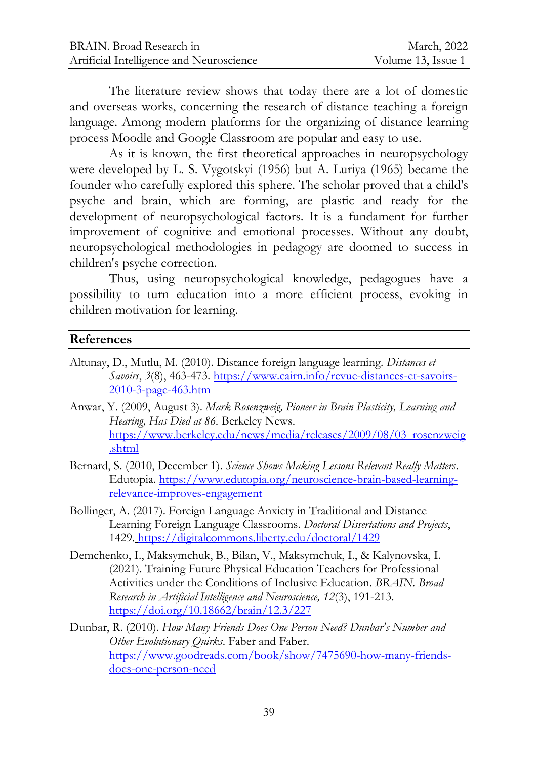The literature review shows that today there are a lot of domestic and overseas works, concerning the research of distance teaching a foreign language. Among modern platforms for the organizing of distance learning process Moodle and Google Classroоm are popular and easy to use.

As it is known, the first theoretical approaches in neuropsychology were developed by L. S. Vygotskyi (1956) but A. Luriya (1965) became the founder who carefully explored this sphere. The scholar proved that a child's psyche and brain, which are forming, are plastic and ready for the development of neuropsychological factors. It is a fundament for further improvement of cognitive and emotional processes. Without any doubt, neuropsychological methodologies in pedagogy are doomed to success in children's psyche correction.

Thus, using neuropsychological knowledge, pedagogues have a possibility to turn education into a more efficient process, evoking in children motivation for learning.

#### **References**

- Altunay, D., Mutlu, M. (2010). Distance foreign language learning. *Distances et Savoirs*, *3*(8), 463-473. [https://www.cairn.info/revue-distances-et-savoirs-](https://www.cairn.info/revue-distances-et-savoirs-2010-3-page-463.htm)[2010-3-page-463.htm](https://www.cairn.info/revue-distances-et-savoirs-2010-3-page-463.htm)
- Anwar, Y. (2009, August 3). *Mark Rosenzweig, Pioneer in Brain Plasticity, Learning and Hearing, Has Died at 86.* Berkeley News. [https://www.berkeley.edu/news/media/releases/2009/08/03\\_rosenzweig](https://www.berkeley.edu/news/media/releases/2009/08/03_rosenzweig.shtml) [.shtml](https://www.berkeley.edu/news/media/releases/2009/08/03_rosenzweig.shtml)
- Bernard, S. (2010, December 1). *Science Shows Making Lessons Relevant Really Matters*. Edutopia. [https://www.edutopia.org/neuroscience-brain-based-learning](https://www.edutopia.org/neuroscience-brain-based-learning-relevance-improves-engagement)[relevance-improves-engagement](https://www.edutopia.org/neuroscience-brain-based-learning-relevance-improves-engagement)
- Bollinger, A. (2017). Foreign Language Anxiety in Traditional and Distance Learning Foreign Language Classrooms. *Doctoral Dissertations and Projects*, 1429. <https://digitalcommons.liberty.edu/doctoral/1429>
- Demchenko, I., Maksymchuk, B., Bilan, V., Maksymchuk, I., & Kalynovska, I. (2021). Training Future Physical Education Teachers for Professional Activities under the Conditions of Inclusive Education. *BRAIN. Broad Research in Artificial Intelligence and Neuroscience, 12*(3), 191-213. <https://doi.org/10.18662/brain/12.3/227>
- Dunbar, R. (2010). *How Many Friends Does One Person Need? Dunbar's Number and Other Evolutionary Quirks*. Faber and Faber. [https://www.goodreads.com/book/show/7475690-how-many-friends](https://www.goodreads.com/book/show/7475690-how-many-friends-does-one-person-need)[does-one-person-need](https://www.goodreads.com/book/show/7475690-how-many-friends-does-one-person-need)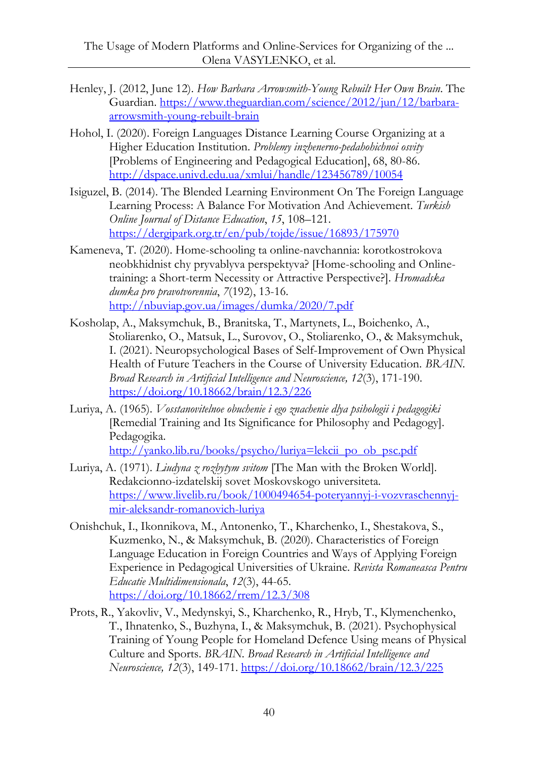- Henley, J. (2012, June 12). *How Barbara Arrowsmith-Young Rebuilt Her Own Brain*. The Guardian. [https://www.theguardian.com/science/2012/jun/12/barbara](https://www.theguardian.com/science/2012/jun/12/barbara-arrowsmith-young-rebuilt-brain)[arrowsmith-young-rebuilt-brain](https://www.theguardian.com/science/2012/jun/12/barbara-arrowsmith-young-rebuilt-brain)
- Hohol, I. (2020). Foreign Languages Distance Learning Course Organizing at a Higher Education Institution. *Problemy inzhenerno-pedahohichnoi osvity* [Problems of Engineering and Pedagogical Education], 68, 80-86. <http://dspace.univd.edu.ua/xmlui/handle/123456789/10054>
- Isiguzel, B. (2014). The Blended Learning Environment On The Foreign Language Learning Process: A Balance For Motivation And Achievement. *Turkish Online Journal of Distance Education*, *15*, 108–121. <https://dergipark.org.tr/en/pub/tojde/issue/16893/175970>
- Kameneva, T. (2020). Home-schooling ta online-navchannia: korotkostrokova neobkhidnist chy pryvablyva perspektyva? [Home-schooling and Onlinetraining: a Short-term Necessity or Attractive Perspective?]. *Hromadska dumka pro pravotvorennia*, *7*(192), 13-16. <http://nbuviap.gov.ua/images/dumka/2020/7.pdf>
- Kosholap, A., Maksymchuk, B., Branitska, T., Martynets, L., Boichenko, A., Stoliarenko, O., Matsuk, L., Surovov, O., Stoliarenko, O., & Maksymchuk, I. (2021). Neuropsychological Bases of Self-Improvement of Own Physical Health of Future Teachers in the Course of University Education. *BRAIN. Broad Research in Artificial Intelligence and Neuroscience, 12*(3), 171-190. <https://doi.org/10.18662/brain/12.3/226>
- Luriya, A. (1965). *Vosstanovitelnoe obuchenie i ego znachenie dlya psihologii i pedagogiki*  [Remedial Training and Its Significance for Philosophy and Pedagogy]. Pedagogika.

[http://yanko.lib.ru/books/psycho/luriya=lekcii\\_po\\_ob\\_psc.pdf](http://yanko.lib.ru/books/psycho/luriya=lekcii_po_ob_psc.pdf)

- Luriya, A. (1971). *Liudyna z rozbytym svitom* [The Man with the Broken World]. Redakcionno-izdatelskij sovet Moskovskogo universiteta. [https://www.livelib.ru/book/1000494654-poteryannyj-i-vozvraschennyj](https://www.livelib.ru/book/1000494654-poteryannyj-i-vozvraschennyj-mir-aleksandr-romanovich-luriya)[mir-aleksandr-romanovich-luriya](https://www.livelib.ru/book/1000494654-poteryannyj-i-vozvraschennyj-mir-aleksandr-romanovich-luriya)
- Onishchuk, I., Ikonnikova, M., Antonenko, T., Kharchenko, I., Shestakova, S., Kuzmenko, N., & Maksymchuk, B. (2020). Characteristics of Foreign Language Education in Foreign Countries and Ways of Applying Foreign Experience in Pedagogical Universities of Ukraine. *Revista Romaneasca Pentru Educatie Multidimensionala*, *12*(3), 44-65. <https://doi.org/10.18662/rrem/12.3/308>
- Prots, R., Yakovliv, V., Medynskyi, S., Kharchenko, R., Hryb, T., Klymenchenko, T., Ihnatenko, S., Buzhyna, I., & Maksymchuk, B. (2021). Psychophysical Training of Young People for Homeland Defence Using means of Physical Culture and Sports. *BRAIN. Broad Research in Artificial Intelligence and Neuroscience, 12*(3), 149-171.<https://doi.org/10.18662/brain/12.3/225>